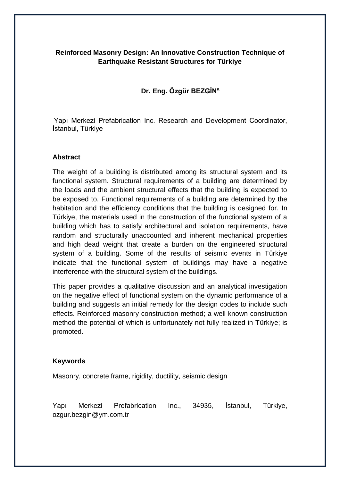# **Reinforced Masonry Design: An Innovative Construction Technique of Earthquake Resistant Structures for Türkiye**

# **Dr. Eng. Özgür BEZGİN<sup>a</sup>**

Yapı Merkezi Prefabrication Inc. Research and Development Coordinator, İstanbul, Türkiye

### **Abstract**

The weight of a building is distributed among its structural system and its functional system. Structural requirements of a building are determined by the loads and the ambient structural effects that the building is expected to be exposed to. Functional requirements of a building are determined by the habitation and the efficiency conditions that the building is designed for. In Türkiye, the materials used in the construction of the functional system of a building which has to satisfy architectural and isolation requirements, have random and structurally unaccounted and inherent mechanical properties and high dead weight that create a burden on the engineered structural system of a building. Some of the results of seismic events in Türkiye indicate that the functional system of buildings may have a negative interference with the structural system of the buildings.

This paper provides a qualitative discussion and an analytical investigation on the negative effect of functional system on the dynamic performance of a building and suggests an initial remedy for the design codes to include such effects. Reinforced masonry construction method; a well known construction method the potential of which is unfortunately not fully realized in Türkiye; is promoted.

### **Keywords**

Masonry, concrete frame, rigidity, ductility, seismic design

Yapı Merkezi Prefabrication Inc., 34935, İstanbul, Türkiye, [ozgur.bezgin@ym.com.tr](mailto:ozgur.bezgin@ym.com.tr)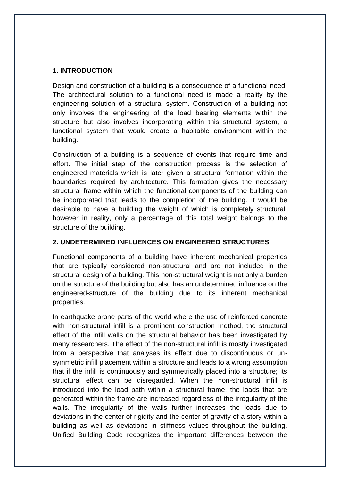### **1. INTRODUCTION**

Design and construction of a building is a consequence of a functional need. The architectural solution to a functional need is made a reality by the engineering solution of a structural system. Construction of a building not only involves the engineering of the load bearing elements within the structure but also involves incorporating within this structural system, a functional system that would create a habitable environment within the building.

Construction of a building is a sequence of events that require time and effort. The initial step of the construction process is the selection of engineered materials which is later given a structural formation within the boundaries required by architecture. This formation gives the necessary structural frame within which the functional components of the building can be incorporated that leads to the completion of the building. It would be desirable to have a building the weight of which is completely structural; however in reality, only a percentage of this total weight belongs to the structure of the building.

## **2. UNDETERMINED INFLUENCES ON ENGINEERED STRUCTURES**

Functional components of a building have inherent mechanical properties that are typically considered non-structural and are not included in the structural design of a building. This non-structural weight is not only a burden on the structure of the building but also has an undetermined influence on the engineered-structure of the building due to its inherent mechanical properties.

In earthquake prone parts of the world where the use of reinforced concrete with non-structural infill is a prominent construction method, the structural effect of the infill walls on the structural behavior has been investigated by many researchers. The effect of the non-structural infill is mostly investigated from a perspective that analyses its effect due to discontinuous or unsymmetric infill placement within a structure and leads to a wrong assumption that if the infill is continuously and symmetrically placed into a structure; its structural effect can be disregarded. When the non-structural infill is introduced into the load path within a structural frame, the loads that are generated within the frame are increased regardless of the irregularity of the walls. The irregularity of the walls further increases the loads due to deviations in the center of rigidity and the center of gravity of a story within a building as well as deviations in stiffness values throughout the building. Unified Building Code recognizes the important differences between the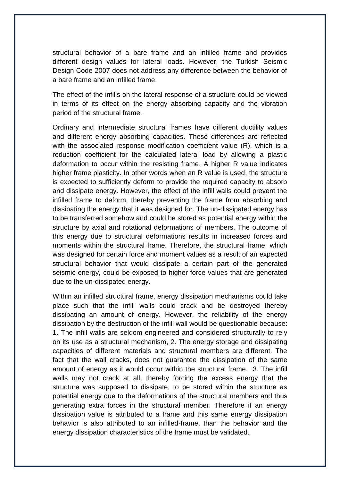structural behavior of a bare frame and an infilled frame and provides different design values for lateral loads. However, the Turkish Seismic Design Code 2007 does not address any difference between the behavior of a bare frame and an infilled frame.

The effect of the infills on the lateral response of a structure could be viewed in terms of its effect on the energy absorbing capacity and the vibration period of the structural frame.

Ordinary and intermediate structural frames have different ductility values and different energy absorbing capacities. These differences are reflected with the associated response modification coefficient value (R), which is a reduction coefficient for the calculated lateral load by allowing a plastic deformation to occur within the resisting frame. A higher R value indicates higher frame plasticity. In other words when an R value is used, the structure is expected to sufficiently deform to provide the required capacity to absorb and dissipate energy. However, the effect of the infill walls could prevent the infilled frame to deform, thereby preventing the frame from absorbing and dissipating the energy that it was designed for. The un-dissipated energy has to be transferred somehow and could be stored as potential energy within the structure by axial and rotational deformations of members. The outcome of this energy due to structural deformations results in increased forces and moments within the structural frame. Therefore, the structural frame, which was designed for certain force and moment values as a result of an expected structural behavior that would dissipate a certain part of the generated seismic energy, could be exposed to higher force values that are generated due to the un-dissipated energy.

Within an infilled structural frame, energy dissipation mechanisms could take place such that the infill walls could crack and be destroyed thereby dissipating an amount of energy. However, the reliability of the energy dissipation by the destruction of the infill wall would be questionable because: 1. The infill walls are seldom engineered and considered structurally to rely on its use as a structural mechanism, 2. The energy storage and dissipating capacities of different materials and structural members are different. The fact that the wall cracks, does not guarantee the dissipation of the same amount of energy as it would occur within the structural frame. 3. The infill walls may not crack at all, thereby forcing the excess energy that the structure was supposed to dissipate, to be stored within the structure as potential energy due to the deformations of the structural members and thus generating extra forces in the structural member. Therefore if an energy dissipation value is attributed to a frame and this same energy dissipation behavior is also attributed to an infilled-frame, than the behavior and the energy dissipation characteristics of the frame must be validated.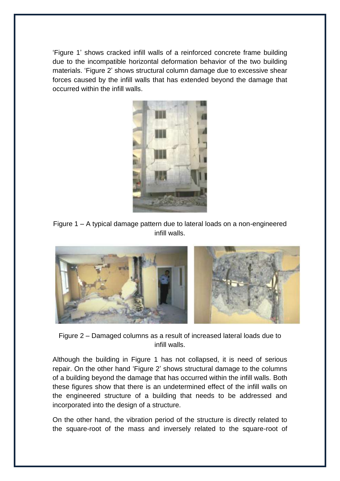"Figure 1" shows cracked infill walls of a reinforced concrete frame building due to the incompatible horizontal deformation behavior of the two building materials. "Figure 2" shows structural column damage due to excessive shear forces caused by the infill walls that has extended beyond the damage that occurred within the infill walls.



Figure 1 – A typical damage pattern due to lateral loads on a non-engineered infill walls.



Figure 2 – Damaged columns as a result of increased lateral loads due to infill walls.

Although the building in Figure 1 has not collapsed, it is need of serious repair. On the other hand "Figure 2" shows structural damage to the columns of a building beyond the damage that has occurred within the infill walls. Both these figures show that there is an undetermined effect of the infill walls on the engineered structure of a building that needs to be addressed and incorporated into the design of a structure.

On the other hand, the vibration period of the structure is directly related to the square-root of the mass and inversely related to the square-root of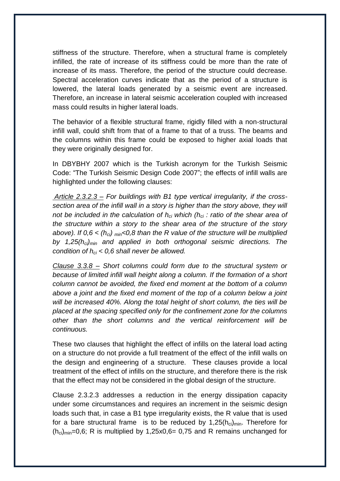stiffness of the structure. Therefore, when a structural frame is completely infilled, the rate of increase of its stiffness could be more than the rate of increase of its mass. Therefore, the period of the structure could decrease. Spectral acceleration curves indicate that as the period of a structure is lowered, the lateral loads generated by a seismic event are increased. Therefore, an increase in lateral seismic acceleration coupled with increased mass could results in higher lateral loads.

The behavior of a flexible structural frame, rigidly filled with a non-structural infill wall, could shift from that of a frame to that of a truss. The beams and the columns within this frame could be exposed to higher axial loads that they were originally designed for.

In DBYBHY 2007 which is the Turkish acronym for the Turkish Seismic Code: "The Turkish Seismic Design Code 2007"; the effects of infill walls are highlighted under the following clauses:

*Article 2.3.2.3 – For buildings with B1 type vertical irregularity, if the crosssection area of the infill wall in a story is higher than the story above, they will not be included in the calculation of hci which (hci : ratio of the shear area of the structure within a story to the shear area of the structure of the story above). If 0,6 < (hci) min<0,8 than the R value of the structure will be multiplied by 1,25(hci)min and applied in both orthogonal seismic directions. The condition of hci < 0,6 shall never be allowed.*

*Clause 3.3.8 – Short columns could form due to the structural system or because of limited infill wall height along a column. If the formation of a short column cannot be avoided, the fixed end moment at the bottom of a column above a joint and the fixed end moment of the top of a column below a joint will be increased 40%. Along the total height of short column, the ties will be placed at the spacing specified only for the confinement zone for the columns other than the short columns and the vertical reinforcement will be continuous.*

These two clauses that highlight the effect of infills on the lateral load acting on a structure do not provide a full treatment of the effect of the infill walls on the design and engineering of a structure. These clauses provide a local treatment of the effect of infills on the structure, and therefore there is the risk that the effect may not be considered in the global design of the structure.

Clause 2.3.2.3 addresses a reduction in the energy dissipation capacity under some circumstances and requires an increment in the seismic design loads such that, in case a B1 type irregularity exists, the R value that is used for a bare structural frame is to be reduced by  $1,25(h_{ci})_{min}$ . Therefore for  $(h_{ci})_{min}$ =0,6; R is multiplied by 1,25x0,6= 0,75 and R remains unchanged for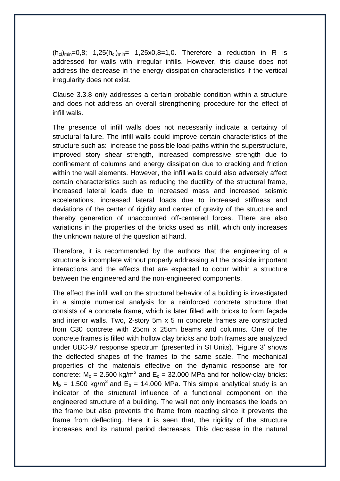$(h_{ci})_{min} = 0.8$ ; 1,25 $(h_{ci})_{min} = 1,25x0,8=1,0$ . Therefore a reduction in R is addressed for walls with irregular infills. However, this clause does not address the decrease in the energy dissipation characteristics if the vertical irregularity does not exist.

Clause 3.3.8 only addresses a certain probable condition within a structure and does not address an overall strengthening procedure for the effect of infill walls.

The presence of infill walls does not necessarily indicate a certainty of structural failure. The infill walls could improve certain characteristics of the structure such as: increase the possible load-paths within the superstructure, improved story shear strength, increased compressive strength due to confinement of columns and energy dissipation due to cracking and friction within the wall elements. However, the infill walls could also adversely affect certain characteristics such as reducing the ductility of the structural frame, increased lateral loads due to increased mass and increased seismic accelerations, increased lateral loads due to increased stiffness and deviations of the center of rigidity and center of gravity of the structure and thereby generation of unaccounted off-centered forces. There are also variations in the properties of the bricks used as infill, which only increases the unknown nature of the question at hand.

Therefore, it is recommended by the authors that the engineering of a structure is incomplete without properly addressing all the possible important interactions and the effects that are expected to occur within a structure between the engineered and the non-engineered components.

The effect the infill wall on the structural behavior of a building is investigated in a simple numerical analysis for a reinforced concrete structure that consists of a concrete frame, which is later filled with bricks to form façade and interior walls. Two, 2-story 5m x 5 m concrete frames are constructed from C30 concrete with 25cm x 25cm beams and columns. One of the concrete frames is filled with hollow clay bricks and both frames are analyzed under UBC-97 response spectrum (presented in SI Units). "Figure 3" shows the deflected shapes of the frames to the same scale. The mechanical properties of the materials effective on the dynamic response are for concrete:  $M_c = 2.500 \text{ kg/m}^3$  and  $E_c = 32.000 \text{ MPa}$  and for hollow-clay bricks:  $M_b$  = 1.500 kg/m<sup>3</sup> and E<sub>b</sub> = 14.000 MPa. This simple analytical study is an indicator of the structural influence of a functional component on the engineered structure of a building. The wall not only increases the loads on the frame but also prevents the frame from reacting since it prevents the frame from deflecting. Here it is seen that, the rigidity of the structure increases and its natural period decreases. This decrease in the natural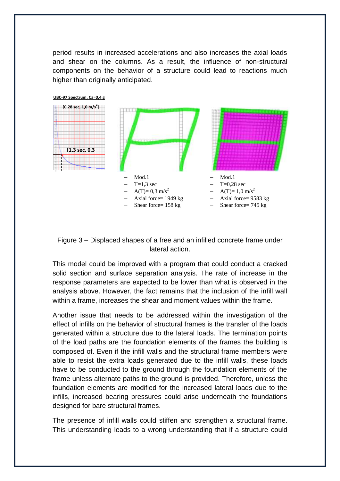period results in increased accelerations and also increases the axial loads and shear on the columns. As a result, the influence of non-structural components on the behavior of a structure could lead to reactions much higher than originally anticipated.



Figure 3 – Displaced shapes of a free and an infilled concrete frame under lateral action.

This model could be improved with a program that could conduct a cracked solid section and surface separation analysis. The rate of increase in the response parameters are expected to be lower than what is observed in the analysis above. However, the fact remains that the inclusion of the infill wall within a frame, increases the shear and moment values within the frame.

Another issue that needs to be addressed within the investigation of the effect of infills on the behavior of structural frames is the transfer of the loads generated within a structure due to the lateral loads. The termination points of the load paths are the foundation elements of the frames the building is composed of. Even if the infill walls and the structural frame members were able to resist the extra loads generated due to the infill walls, these loads have to be conducted to the ground through the foundation elements of the frame unless alternate paths to the ground is provided. Therefore, unless the foundation elements are modified for the increased lateral loads due to the infills, increased bearing pressures could arise underneath the foundations designed for bare structural frames.

The presence of infill walls could stiffen and strengthen a structural frame. This understanding leads to a wrong understanding that if a structure could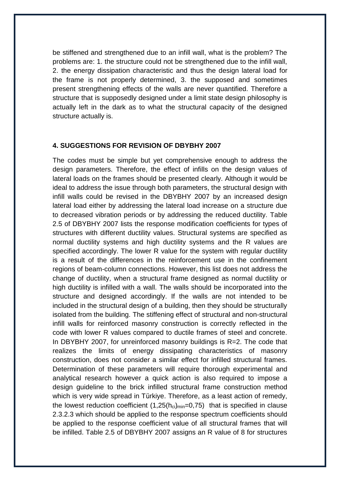be stiffened and strengthened due to an infill wall, what is the problem? The problems are: 1. the structure could not be strengthened due to the infill wall, 2. the energy dissipation characteristic and thus the design lateral load for the frame is not properly determined, 3. the supposed and sometimes present strengthening effects of the walls are never quantified. Therefore a structure that is supposedly designed under a limit state design philosophy is actually left in the dark as to what the structural capacity of the designed structure actually is.

#### **4. SUGGESTIONS FOR REVISION OF DBYBHY 2007**

The codes must be simple but yet comprehensive enough to address the design parameters. Therefore, the effect of infills on the design values of lateral loads on the frames should be presented clearly. Although it would be ideal to address the issue through both parameters, the structural design with infill walls could be revised in the DBYBHY 2007 by an increased design lateral load either by addressing the lateral load increase on a structure due to decreased vibration periods or by addressing the reduced ductility. Table 2.5 of DBYBHY 2007 lists the response modification coefficients for types of structures with different ductility values. Structural systems are specified as normal ductility systems and high ductility systems and the R values are specified accordingly. The lower R value for the system with regular ductility is a result of the differences in the reinforcement use in the confinement regions of beam-column connections. However, this list does not address the change of ductility, when a structural frame designed as normal ductility or high ductility is infilled with a wall. The walls should be incorporated into the structure and designed accordingly. If the walls are not intended to be included in the structural design of a building, then they should be structurally isolated from the building. The stiffening effect of structural and non-structural infill walls for reinforced masonry construction is correctly reflected in the code with lower R values compared to ductile frames of steel and concrete. In DBYBHY 2007, for unreinforced masonry buildings is R=2. The code that realizes the limits of energy dissipating characteristics of masonry construction, does not consider a similar effect for infilled structural frames. Determination of these parameters will require thorough experimental and analytical research however a quick action is also required to impose a design guideline to the brick infilled structural frame construction method which is very wide spread in Türkiye. Therefore, as a least action of remedy, the lowest reduction coefficient  $(1,25(h_{ci})_{min}=0,75)$  that is specified in clause 2.3.2.3 which should be applied to the response spectrum coefficients should be applied to the response coefficient value of all structural frames that will be infilled. Table 2.5 of DBYBHY 2007 assigns an R value of 8 for structures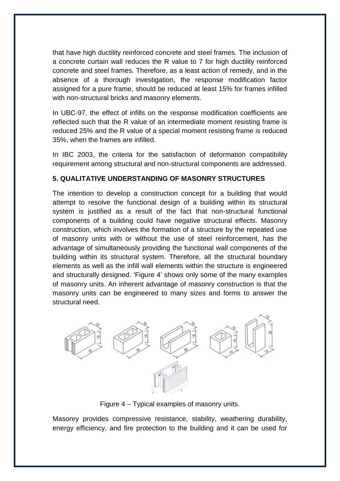that have high ductility reinforced concrete and steel frames. The inclusion of a concrete curtain wall reduces the R value to 7 for high ductility reinforced concrete and steel frames. Therefore, as a least action of remedy, and in the absence of a thorough investigation, the response modification factor assigned for a pure frame, should be reduced at least 15% for frames infilled with non-structural bricks and masonry elements.

In UBC-97, the effect of infills on the response modification coefficients are reflected such that the R value of an intermediate moment resisting frame is reduced 25% and the R value of a special moment resisting frame is reduced 35%, when the frames are infilled.

In IBC 2003, the criteria for the satisfaction of deformation compatibility requirement among structural and non-structural components are addressed.

# **5. QUALITATIVE UNDERSTANDING OF MASONRY STRUCTURES**

The intention to develop a construction concept for a building that would attempt to resolve the functional design of a building within its structural system is justified as a result of the fact that non-structural functional components of a building could have negative structural effects. Masonry construction, which involves the formation of a structure by the repeated use of masonry units with or without the use of steel reinforcement, has the advantage of simultaneously providing the functional wall components of the building within its structural system. Therefore, all the structural boundary elements as well as the infill wall elements within the structure is engineered and structurally designed. "Figure 4" shows only some of the many examples of masonry units. An inherent advantage of masonry construction is that the masonry units can be engineered to many sizes and forms to answer the structural need.



Figure 4 – Typical examples of masonry units.

Masonry provides compressive resistance, stability, weathering durability, energy efficiency, and fire protection to the building and it can be used for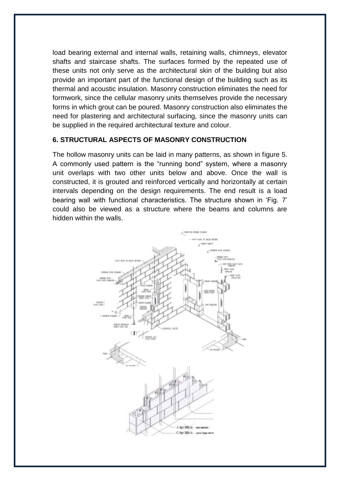load bearing external and internal walls, retaining walls, chimneys, elevator shafts and staircase shafts. The surfaces formed by the repeated use of these units not only serve as the architectural skin of the building but also provide an important part of the functional design of the building such as its thermal and acoustic insulation. Masonry construction eliminates the need for formwork, since the cellular masonry units themselves provide the necessary forms in which grout can be poured. Masonry construction also eliminates the need for plastering and architectural surfacing, since the masonry units can be supplied in the required architectural texture and colour.

#### **6. STRUCTURAL ASPECTS OF MASONRY CONSTRUCTION**

The hollow masonry units can be laid in many patterns, as shown in figure 5. A commonly used pattern is the "running bond" system, where a masonry unit overlaps with two other units below and above. Once the wall is constructed, it is grouted and reinforced vertically and horizontally at certain intervals depending on the design requirements. The end result is a load bearing wall with functional characteristics. The structure shown in "Fig. 7" could also be viewed as a structure where the beams and columns are hidden within the walls.

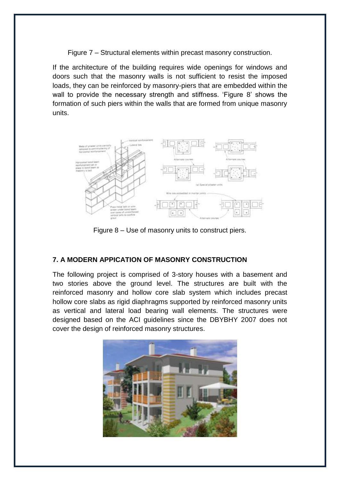Figure 7 – Structural elements within precast masonry construction.

If the architecture of the building requires wide openings for windows and doors such that the masonry walls is not sufficient to resist the imposed loads, they can be reinforced by masonry-piers that are embedded within the wall to provide the necessary strength and stiffness. 'Figure 8' shows the formation of such piers within the walls that are formed from unique masonry units.



Figure 8 – Use of masonry units to construct piers.

# **7. A MODERN APPICATION OF MASONRY CONSTRUCTION**

The following project is comprised of 3-story houses with a basement and two stories above the ground level. The structures are built with the reinforced masonry and hollow core slab system which includes precast hollow core slabs as rigid diaphragms supported by reinforced masonry units as vertical and lateral load bearing wall elements. The structures were designed based on the ACI guidelines since the DBYBHY 2007 does not cover the design of reinforced masonry structures.

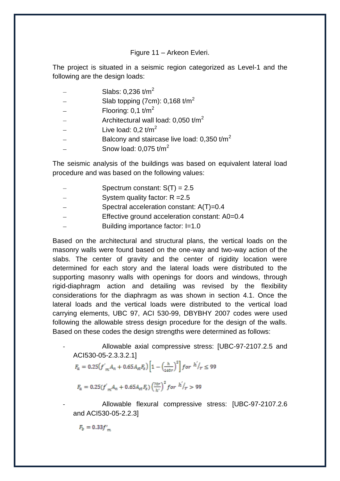#### Figure 11 – Arkeon Evleri.

The project is situated in a seismic region categorized as Level-1 and the following are the design loads:

- Slabs:  $0.236$  t/m<sup>2</sup>
- Slab topping (7cm): 0,168 t/m<sup>2</sup>
- Flooring:  $0.1$  t/m<sup>2</sup>
- Architectural wall load:  $0.050$  t/m<sup>2</sup>
- Live load:  $0.2$  t/m<sup>2</sup>
- Balcony and staircase live load:  $0,350$  t/m<sup>2</sup>
- Snow load:  $0.075$  t/m<sup>2</sup>

The seismic analysis of the buildings was based on equivalent lateral load procedure and was based on the following values:

- Spectrum constant:  $S(T) = 2.5$
- System quality factor: R =2.5
- Spectral acceleration constant: A(T)=0.4
- Effective ground acceleration constant: A0=0.4
- Building importance factor: I=1.0

Based on the architectural and structural plans, the vertical loads on the masonry walls were found based on the one-way and two-way action of the slabs. The center of gravity and the center of rigidity location were determined for each story and the lateral loads were distributed to the supporting masonry walls with openings for doors and windows, through rigid-diaphragm action and detailing was revised by the flexibility considerations for the diaphragm as was shown in section 4.1. Once the lateral loads and the vertical loads were distributed to the vertical load carrying elements, UBC 97, ACI 530-99, DBYBHY 2007 codes were used following the allowable stress design procedure for the design of the walls. Based on these codes the design strengths were determined as follows:

Allowable axial compressive stress: [UBC-97-2107.2.5 and ACI530-05-2.3.3.2.1]

$$
F_{\alpha} = 0.25 \left( f'_{m} A_{n} + 0.65 A_{st} F_{s} \right) \left[ 1 - \left( \frac{h}{140 r} \right)^{2} \right] for \quad h'/r \leq 99
$$

$$
F_a = 0.25 (f^{'}_{m} A_n + 0.65 A_{st} F_s) \left(\frac{70r}{h^{'}}\right)^2 for \frac{h^{'}}{r} > 99
$$

Allowable flexural compressive stress: [UBC-97-2107.2.6 and ACI530-05-2.2.3]

 $F_b = 0.33 f'$ <sub>m</sub>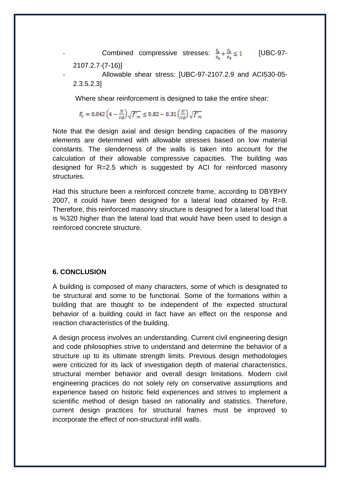Combined compressive stresses:  $\frac{f_a}{F_a} + \frac{f_b}{F_b} \le 1$  [UBC-97-2107.2.7-(7-16)]

- Allowable shear stress: [UBC-97-2107.2.9 and ACI530-05- 2.3.5.2.3]

Where shear reinforcement is designed to take the entire shear:

 $F_v = 0.042 \left(4 - \frac{M}{vd}\right) \sqrt{f'_m} \le 0.82 - 0.31 \left(\frac{M}{vd}\right) \sqrt{f'_m}$ 

Note that the design axial and design bending capacities of the masonry elements are determined with allowable stresses based on low material constants. The slenderness of the walls is taken into account for the calculation of their allowable compressive capacities. The building was designed for R=2.5 which is suggested by ACI for reinforced masonry structures.

Had this structure been a reinforced concrete frame, according to DBYBHY 2007, it could have been designed for a lateral load obtained by R=8. Therefore, this reinforced masonry structure is designed for a lateral load that is %320 higher than the lateral load that would have been used to design a reinforced concrete structure.

#### **6. CONCLUSION**

A building is composed of many characters, some of which is designated to be structural and some to be functional. Some of the formations within a building that are thought to be independent of the expected structural behavior of a building could in fact have an effect on the response and reaction characteristics of the building.

A design process involves an understanding. Current civil engineering design and code philosophies strive to understand and determine the behavior of a structure up to its ultimate strength limits. Previous design methodologies were criticized for its lack of investigation depth of material characteristics, structural member behavior and overall design limitations. Modern civil engineering practices do not solely rely on conservative assumptions and experience based on historic field experiences and strives to implement a scientific method of design based on rationality and statistics. Therefore, current design practices for structural frames must be improved to incorporate the effect of non-structural infill walls.